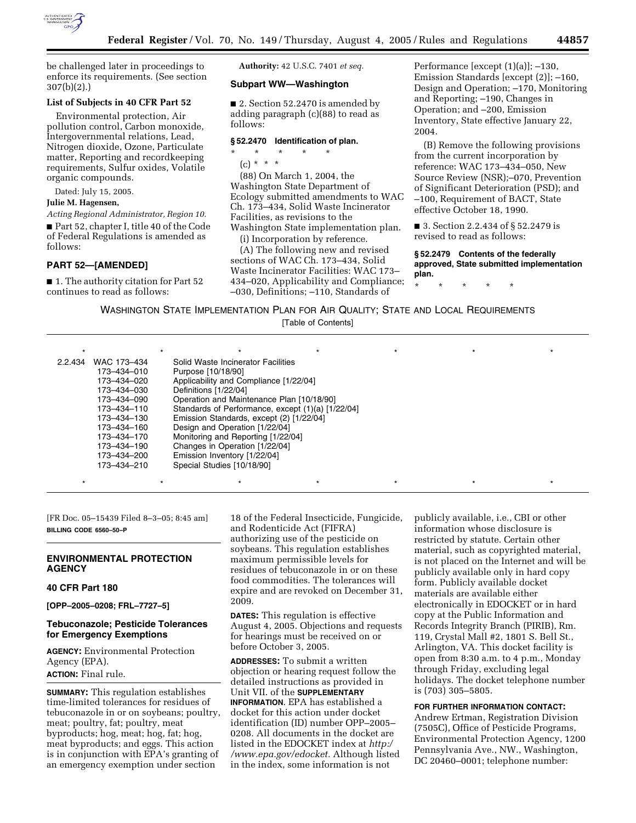

be challenged later in proceedings to enforce its requirements. (See section 307(b)(2).)

## **List of Subjects in 40 CFR Part 52**

Environmental protection, Air pollution control, Carbon monoxide, Intergovernmental relations, Lead, Nitrogen dioxide, Ozone, Particulate matter, Reporting and recordkeeping requirements, Sulfur oxides, Volatile organic compounds.

Dated: July 15, 2005.

#### **Julie M. Hagensen,**

*Acting Regional Administrator, Region 10.* ■ Part 52, chapter I, title 40 of the Code of Federal Regulations is amended as follows:

### **PART 52—[AMENDED]**

■ 1. The authority citation for Part 52 continues to read as follows:

**Authority:** 42 U.S.C. 7401 *et seq.*

## **Subpart WW—Washington**

■ 2. Section 52.2470 is amended by adding paragraph (c)(88) to read as follows:

## **§ 52.2470 Identification of plan.**

- \* \* \* \* \*
- $(c) * * * *$

(88) On March 1, 2004, the Washington State Department of Ecology submitted amendments to WAC Ch. 173–434, Solid Waste Incinerator Facilities, as revisions to the Washington State implementation plan.

(i) Incorporation by reference.

(A) The following new and revised sections of WAC Ch. 173–434, Solid Waste Incinerator Facilities: WAC 173– 434–020, Applicability and Compliance; –030, Definitions; –110, Standards of

Performance [except (1)(a)]; –130, Emission Standards [except (2)]; –160, Design and Operation; –170, Monitoring and Reporting; –190, Changes in Operation; and –200, Emission Inventory, State effective January 22, 2004.

(B) Remove the following provisions from the current incorporation by reference: WAC 173–434–050, New Source Review (NSR);–070, Prevention of Significant Deterioration (PSD); and –100, Requirement of BACT, State effective October 18, 1990.

■ 3. Section 2.2.434 of § 52.2479 is revised to read as follows:

**§ 52.2479 Contents of the federally approved, State submitted implementation plan.**

\* \* \* \* \*

WASHINGTON STATE IMPLEMENTATION PLAN FOR AIR QUALITY; STATE AND LOCAL REQUIREMENTS [Table of Contents]

|                        | ÷                                                 |  |  |
|------------------------|---------------------------------------------------|--|--|
| 2.2.434<br>WAC 173-434 | Solid Waste Incinerator Facilities                |  |  |
| 173-434-010            | Purpose [10/18/90]                                |  |  |
| 173-434-020            | Applicability and Compliance [1/22/04]            |  |  |
| 173-434-030            | Definitions [1/22/04]                             |  |  |
| 173-434-090            | Operation and Maintenance Plan [10/18/90]         |  |  |
| 173-434-110            | Standards of Performance, except (1)(a) [1/22/04] |  |  |
| 173-434-130            | Emission Standards, except (2) [1/22/04]          |  |  |
| 173-434-160            | Design and Operation [1/22/04]                    |  |  |
| 173-434-170            | Monitoring and Reporting [1/22/04]                |  |  |
| 173-434-190            | Changes in Operation [1/22/04]                    |  |  |
| 173-434-200            | Emission Inventory [1/22/04]                      |  |  |
| 173-434-210            | Special Studies [10/18/90]                        |  |  |
|                        |                                                   |  |  |

\* \* \* \* \* \* \* \* \* \* \* \* \* \* \*

[FR Doc. 05–15439 Filed 8–3–05; 8:45 am] **BILLING CODE 6560–50–P**

## **ENVIRONMENTAL PROTECTION AGENCY**

## **40 CFR Part 180**

**[OPP–2005–0208; FRL–7727–5]** 

## **Tebuconazole; Pesticide Tolerances for Emergency Exemptions**

**AGENCY:** Environmental Protection Agency (EPA). **ACTION:** Final rule.

**SUMMARY:** This regulation establishes time-limited tolerances for residues of tebuconazole in or on soybeans; poultry, meat; poultry, fat; poultry, meat byproducts; hog, meat; hog, fat; hog, meat byproducts; and eggs. This action is in conjunction with EPA's granting of an emergency exemption under section

18 of the Federal Insecticide, Fungicide, and Rodenticide Act (FIFRA) authorizing use of the pesticide on soybeans. This regulation establishes maximum permissible levels for residues of tebuconazole in or on these food commodities. The tolerances will expire and are revoked on December 31, 2009.

**DATES:** This regulation is effective August 4, 2005. Objections and requests for hearings must be received on or before October 3, 2005.

**ADDRESSES:** To submit a written objection or hearing request follow the detailed instructions as provided in Unit VII. of the **SUPPLEMENTARY INFORMATION**. EPA has established a docket for this action under docket identification (ID) number OPP–2005– 0208. All documents in the docket are listed in the EDOCKET index at *http:/ /www.epa.gov/edocket.* Although listed in the index, some information is not

publicly available, i.e., CBI or other information whose disclosure is restricted by statute. Certain other material, such as copyrighted material, is not placed on the Internet and will be publicly available only in hard copy form. Publicly available docket materials are available either electronically in EDOCKET or in hard copy at the Public Information and Records Integrity Branch (PIRIB), Rm. 119, Crystal Mall #2, 1801 S. Bell St., Arlington, VA. This docket facility is open from 8:30 a.m. to 4 p.m., Monday through Friday, excluding legal holidays. The docket telephone number is (703) 305–5805.

## **FOR FURTHER INFORMATION CONTACT:**

Andrew Ertman, Registration Division (7505C), Office of Pesticide Programs, Environmental Protection Agency, 1200 Pennsylvania Ave., NW., Washington, DC 20460–0001; telephone number: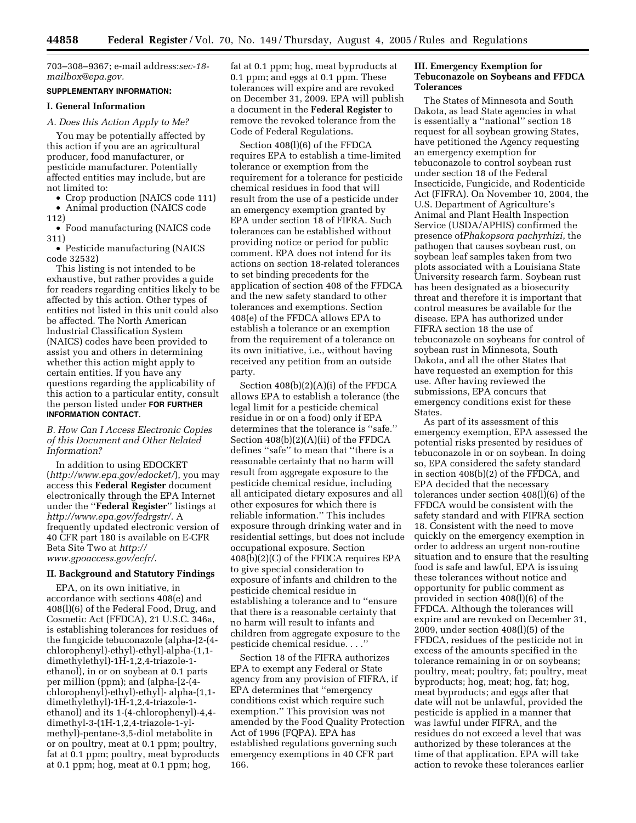703–308–9367; e-mail address:*sec-18 mailbox@epa.gov.*

# **SUPPLEMENTARY INFORMATION:**

## **I. General Information**

#### *A. Does this Action Apply to Me?*

You may be potentially affected by this action if you are an agricultural producer, food manufacturer, or pesticide manufacturer. Potentially affected entities may include, but are not limited to:

• Crop production (NAICS code 111) • Animal production (NAICS code

112)

• Food manufacturing (NAICS code 311)

• Pesticide manufacturing (NAICS code 32532)

This listing is not intended to be exhaustive, but rather provides a guide for readers regarding entities likely to be affected by this action. Other types of entities not listed in this unit could also be affected. The North American Industrial Classification System (NAICS) codes have been provided to assist you and others in determining whether this action might apply to certain entities. If you have any questions regarding the applicability of this action to a particular entity, consult the person listed under **FOR FURTHER INFORMATION CONTACT**.

### *B. How Can I Access Electronic Copies of this Document and Other Related Information?*

In addition to using EDOCKET (*http://www.epa.gov/edocket/*), you may access this **Federal Register** document electronically through the EPA Internet under the ''**Federal Register**'' listings at *http://www.epa.gov/fedrgstr/*. A frequently updated electronic version of 40 CFR part 180 is available on E-CFR Beta Site Two at *http:// www.gpoaccess.gov/ecfr/*.

#### **II. Background and Statutory Findings**

EPA, on its own initiative, in accordance with sections 408(e) and 408(l)(6) of the Federal Food, Drug, and Cosmetic Act (FFDCA), 21 U.S.C. 346a, is establishing tolerances for residues of the fungicide tebuconazole (alpha-[2-(4 chlorophenyl)-ethyl)-ethyl]-alpha-(1,1 dimethylethyl)-1H-1,2,4-triazole-1 ethanol), in or on soybean at 0.1 parts per million (ppm); and (alpha-[2-(4 chlorophenyl)-ethyl)-ethyl]- alpha-(1,1 dimethylethyl)-1H-1,2,4-triazole-1 ethanol) and its 1-(4-chlorophenyl)-4,4 dimethyl-3-(1H-1,2,4-triazole-1-ylmethyl)-pentane-3,5-diol metabolite in or on poultry, meat at 0.1 ppm; poultry, fat at 0.1 ppm; poultry, meat byproducts at 0.1 ppm; hog, meat at 0.1 ppm; hog,

fat at 0.1 ppm; hog, meat byproducts at 0.1 ppm; and eggs at 0.1 ppm. These tolerances will expire and are revoked on December 31, 2009. EPA will publish a document in the **Federal Register** to remove the revoked tolerance from the Code of Federal Regulations.

Section 408(l)(6) of the FFDCA requires EPA to establish a time-limited tolerance or exemption from the requirement for a tolerance for pesticide chemical residues in food that will result from the use of a pesticide under an emergency exemption granted by EPA under section 18 of FIFRA. Such tolerances can be established without providing notice or period for public comment. EPA does not intend for its actions on section 18-related tolerances to set binding precedents for the application of section 408 of the FFDCA and the new safety standard to other tolerances and exemptions. Section 408(e) of the FFDCA allows EPA to establish a tolerance or an exemption from the requirement of a tolerance on its own initiative, i.e., without having received any petition from an outside party.

Section 408(b)(2)(A)(i) of the FFDCA allows EPA to establish a tolerance (the legal limit for a pesticide chemical residue in or on a food) only if EPA determines that the tolerance is ''safe.'' Section 408(b)(2)(A)(ii) of the FFDCA defines ''safe'' to mean that ''there is a reasonable certainty that no harm will result from aggregate exposure to the pesticide chemical residue, including all anticipated dietary exposures and all other exposures for which there is reliable information.'' This includes exposure through drinking water and in residential settings, but does not include occupational exposure. Section 408(b)(2)(C) of the FFDCA requires EPA to give special consideration to exposure of infants and children to the pesticide chemical residue in establishing a tolerance and to ''ensure that there is a reasonable certainty that no harm will result to infants and children from aggregate exposure to the pesticide chemical residue. . . .''

Section 18 of the FIFRA authorizes EPA to exempt any Federal or State agency from any provision of FIFRA, if EPA determines that ''emergency conditions exist which require such exemption.'' This provision was not amended by the Food Quality Protection Act of 1996 (FQPA). EPA has established regulations governing such emergency exemptions in 40 CFR part 166.

## **III. Emergency Exemption for Tebuconazole on Soybeans and FFDCA Tolerances**

The States of Minnesota and South Dakota, as lead State agencies in what is essentially a ''national'' section 18 request for all soybean growing States, have petitioned the Agency requesting an emergency exemption for tebuconazole to control soybean rust under section 18 of the Federal Insecticide, Fungicide, and Rodenticide Act (FIFRA). On November 10, 2004, the U.S. Department of Agriculture's Animal and Plant Health Inspection Service (USDA/APHIS) confirmed the presence of*Phakopsora pachyrhizi*, the pathogen that causes soybean rust, on soybean leaf samples taken from two plots associated with a Louisiana State University research farm. Soybean rust has been designated as a biosecurity threat and therefore it is important that control measures be available for the disease. EPA has authorized under FIFRA section 18 the use of tebuconazole on soybeans for control of soybean rust in Minnesota, South Dakota, and all the other States that have requested an exemption for this use. After having reviewed the submissions, EPA concurs that emergency conditions exist for these States.

As part of its assessment of this emergency exemption, EPA assessed the potential risks presented by residues of tebuconazole in or on soybean. In doing so, EPA considered the safety standard in section 408(b)(2) of the FFDCA, and EPA decided that the necessary tolerances under section 408(l)(6) of the FFDCA would be consistent with the safety standard and with FIFRA section 18. Consistent with the need to move quickly on the emergency exemption in order to address an urgent non-routine situation and to ensure that the resulting food is safe and lawful, EPA is issuing these tolerances without notice and opportunity for public comment as provided in section 408(l)(6) of the FFDCA. Although the tolerances will expire and are revoked on December 31, 2009, under section 408(l)(5) of the FFDCA, residues of the pesticide not in excess of the amounts specified in the tolerance remaining in or on soybeans; poultry, meat; poultry, fat; poultry, meat byproducts; hog, meat; hog, fat; hog, meat byproducts; and eggs after that date will not be unlawful, provided the pesticide is applied in a manner that was lawful under FIFRA, and the residues do not exceed a level that was authorized by these tolerances at the time of that application. EPA will take action to revoke these tolerances earlier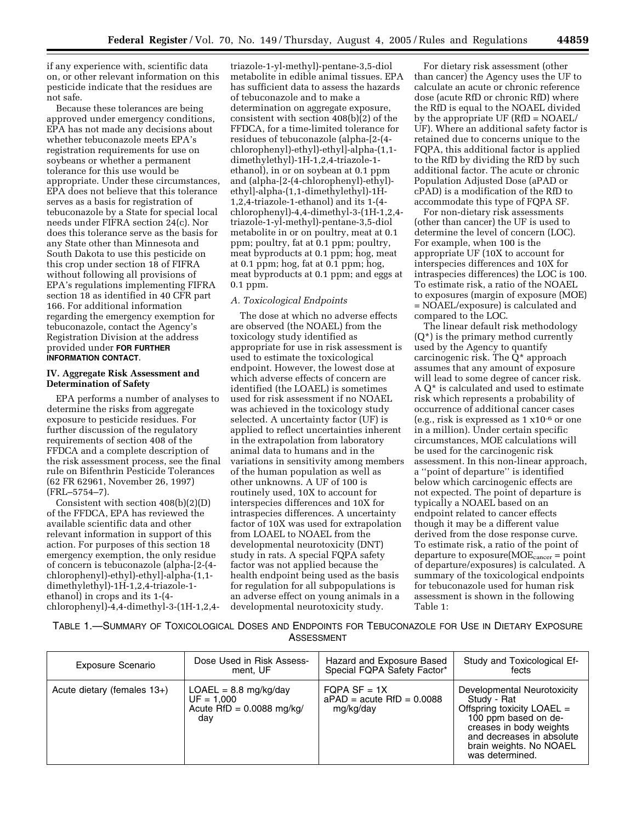if any experience with, scientific data on, or other relevant information on this pesticide indicate that the residues are not safe.

Because these tolerances are being approved under emergency conditions, EPA has not made any decisions about whether tebuconazole meets EPA's registration requirements for use on soybeans or whether a permanent tolerance for this use would be appropriate. Under these circumstances, EPA does not believe that this tolerance serves as a basis for registration of tebuconazole by a State for special local needs under FIFRA section 24(c). Nor does this tolerance serve as the basis for any State other than Minnesota and South Dakota to use this pesticide on this crop under section 18 of FIFRA without following all provisions of EPA's regulations implementing FIFRA section 18 as identified in 40 CFR part 166. For additional information regarding the emergency exemption for tebuconazole, contact the Agency's Registration Division at the address provided under **FOR FURTHER INFORMATION CONTACT**.

## **IV. Aggregate Risk Assessment and Determination of Safety**

EPA performs a number of analyses to determine the risks from aggregate exposure to pesticide residues. For further discussion of the regulatory requirements of section 408 of the FFDCA and a complete description of the risk assessment process, see the final rule on Bifenthrin Pesticide Tolerances (62 FR 62961, November 26, 1997) (FRL–5754–7).

Consistent with section 408(b)(2)(D) of the FFDCA, EPA has reviewed the available scientific data and other relevant information in support of this action. For purposes of this section 18 emergency exemption, the only residue of concern is tebuconazole (alpha-[2-(4 chlorophenyl)-ethyl)-ethyl]-alpha-(1,1 dimethylethyl)-1H-1,2,4-triazole-1 ethanol) in crops and its 1-(4 chlorophenyl)-4,4-dimethyl-3-(1H-1,2,4-

triazole-1-yl-methyl)-pentane-3,5-diol metabolite in edible animal tissues. EPA has sufficient data to assess the hazards of tebuconazole and to make a determination on aggregate exposure, consistent with section  $408(b)(2)$  of the FFDCA, for a time-limited tolerance for residues of tebuconazole (alpha-[2-(4 chlorophenyl)-ethyl)-ethyl]-alpha-(1,1 dimethylethyl)-1H-1,2,4-triazole-1 ethanol), in or on soybean at 0.1 ppm and (alpha-[2-(4-chlorophenyl)-ethyl) ethyl]-alpha-(1,1-dimethylethyl)-1H-1,2,4-triazole-1-ethanol) and its 1-(4 chlorophenyl)-4,4-dimethyl-3-(1H-1,2,4 triazole-1-yl-methyl)-pentane-3,5-diol metabolite in or on poultry, meat at 0.1 ppm; poultry, fat at 0.1 ppm; poultry, meat byproducts at 0.1 ppm; hog, meat at 0.1 ppm; hog, fat at 0.1 ppm; hog, meat byproducts at 0.1 ppm; and eggs at 0.1 ppm.

## *A. Toxicological Endpoints*

The dose at which no adverse effects are observed (the NOAEL) from the toxicology study identified as appropriate for use in risk assessment is used to estimate the toxicological endpoint. However, the lowest dose at which adverse effects of concern are identified (the LOAEL) is sometimes used for risk assessment if no NOAEL was achieved in the toxicology study selected. A uncertainty factor (UF) is applied to reflect uncertainties inherent in the extrapolation from laboratory animal data to humans and in the variations in sensitivity among members of the human population as well as other unknowns. A UF of 100 is routinely used, 10X to account for interspecies differences and 10X for intraspecies differences. A uncertainty factor of 10X was used for extrapolation from LOAEL to NOAEL from the developmental neurotoxicity (DNT) study in rats. A special FQPA safety factor was not applied because the health endpoint being used as the basis for regulation for all subpopulations is an adverse effect on young animals in a developmental neurotoxicity study.

For dietary risk assessment (other than cancer) the Agency uses the UF to calculate an acute or chronic reference dose (acute RfD or chronic RfD) where the RfD is equal to the NOAEL divided by the appropriate UF (RfD = NOAEL/ UF). Where an additional safety factor is retained due to concerns unique to the FQPA, this additional factor is applied to the RfD by dividing the RfD by such additional factor. The acute or chronic Population Adjusted Dose (aPAD or cPAD) is a modification of the RfD to accommodate this type of FQPA SF.

For non-dietary risk assessments (other than cancer) the UF is used to determine the level of concern (LOC). For example, when 100 is the appropriate UF (10X to account for interspecies differences and 10X for intraspecies differences) the LOC is 100. To estimate risk, a ratio of the NOAEL to exposures (margin of exposure (MOE) = NOAEL/exposure) is calculated and compared to the LOC.

The linear default risk methodology  $(Q^*)$  is the primary method currently used by the Agency to quantify carcinogenic risk. The Q\* approach assumes that any amount of exposure will lead to some degree of cancer risk. A Q\* is calculated and used to estimate risk which represents a probability of occurrence of additional cancer cases (e.g., risk is expressed as 1 x10-6 or one in a million). Under certain specific circumstances, MOE calculations will be used for the carcinogenic risk assessment. In this non-linear approach, a ''point of departure'' is identified below which carcinogenic effects are not expected. The point of departure is typically a NOAEL based on an endpoint related to cancer effects though it may be a different value derived from the dose response curve. To estimate risk, a ratio of the point of departure to  $exposure(MOE_{cancer} = point$ of departure/exposures) is calculated. A summary of the toxicological endpoints for tebuconazole used for human risk assessment is shown in the following Table 1:

TABLE 1.—SUMMARY OF TOXICOLOGICAL DOSES AND ENDPOINTS FOR TEBUCONAZOLE FOR USE IN DIETARY EXPOSURE ASSESSMENT

| Exposure Scenario           | Dose Used in Risk Assess-                                                     | Hazard and Exposure Based                                  | Study and Toxicological Ef-                                                                                                                                                                            |
|-----------------------------|-------------------------------------------------------------------------------|------------------------------------------------------------|--------------------------------------------------------------------------------------------------------------------------------------------------------------------------------------------------------|
|                             | ment. UF                                                                      | Special FQPA Safety Factor*                                | fects                                                                                                                                                                                                  |
| Acute dietary (females 13+) | $LOAEL = 8.8$ mg/kg/day<br>$UF = 1.000$<br>Acute $RfD = 0.0088$ mg/kg/<br>dav | FOPA SF = $1X$<br>$aPAD = acute$ RfD = 0.0088<br>mg/kg/day | Developmental Neurotoxicity<br>Study - Rat<br>Offspring toxicity LOAEL =<br>100 ppm based on de-<br>creases in body weights<br>and decreases in absolute<br>brain weights. No NOAEL<br>was determined. |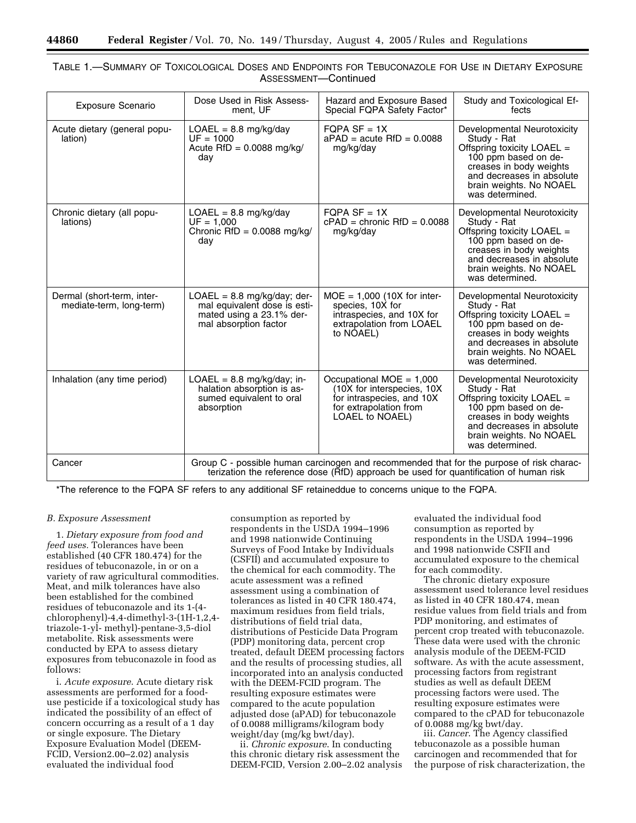| <b>Exposure Scenario</b>                               | Dose Used in Risk Assess-<br>ment, UF                                                                                                                                             | Hazard and Exposure Based<br>Special FQPA Safety Factor*                                                                           | Study and Toxicological Ef-<br>fects                                                                                                                                                                     |  |  |
|--------------------------------------------------------|-----------------------------------------------------------------------------------------------------------------------------------------------------------------------------------|------------------------------------------------------------------------------------------------------------------------------------|----------------------------------------------------------------------------------------------------------------------------------------------------------------------------------------------------------|--|--|
| Acute dietary (general popu-<br>lation)                | $LOAEL = 8.8 mg/kg/day$<br>$UF = 1000$<br>Acute $RfD = 0.0088$ mg/kg/<br>day                                                                                                      | $FQPA SF = 1X$<br>$a$ PAD = acute RfD = 0.0088<br>mg/kg/day                                                                        | Developmental Neurotoxicity<br>Study - Rat<br>Offspring toxicity $LOAEL =$<br>100 ppm based on de-<br>creases in body weights<br>and decreases in absolute<br>brain weights. No NOAEL<br>was determined. |  |  |
| Chronic dietary (all popu-<br>lations)                 | $LOAEL = 8.8 mg/kg/day$<br>$UF = 1.000$<br>Chronic RfD = $0.0088$ mg/kg/<br>day                                                                                                   | $FQPA SF = 1X$<br>$cPAD =$ chronic RfD = 0.0088<br>mg/kg/day                                                                       | Developmental Neurotoxicity<br>Study - Rat<br>Offspring toxicity LOAEL =<br>100 ppm based on de-<br>creases in body weights<br>and decreases in absolute<br>brain weights. No NOAEL<br>was determined.   |  |  |
| Dermal (short-term, inter-<br>mediate-term, long-term) | $LOAEL = 8.8 mg/kg/day$ ; der-<br>mal equivalent dose is esti-<br>mated using a 23.1% der-<br>mal absorption factor                                                               | $MOE = 1,000$ (10X for inter-<br>species, 10X for<br>intraspecies, and 10X for<br>extrapolation from LOAEL<br>to NOAEL)            | Developmental Neurotoxicity<br>Study - Rat<br>Offspring toxicity LOAEL =<br>100 ppm based on de-<br>creases in body weights<br>and decreases in absolute<br>brain weights. No NOAEL<br>was determined.   |  |  |
| Inhalation (any time period)                           | $LOAEL = 8.8 mg/kg/day; in-$<br>halation absorption is as-<br>sumed equivalent to oral<br>absorption                                                                              | Occupational MOE = $1,000$<br>(10X for interspecies, 10X<br>for intraspecies, and 10X<br>for extrapolation from<br>LOAEL to NOAEL) | Developmental Neurotoxicity<br>Study - Rat<br>Offspring toxicity LOAEL =<br>100 ppm based on de-<br>creases in body weights<br>and decreases in absolute<br>brain weights. No NOAEL<br>was determined.   |  |  |
| Cancer                                                 | Group C - possible human carcinogen and recommended that for the purpose of risk charac-<br>terization the reference dose (RfD) approach be used for quantification of human risk |                                                                                                                                    |                                                                                                                                                                                                          |  |  |

| Table 1.—Summary of Toxicological Doses and Endpoints for Tebuconazole for Use in Dietary Exposure |  |                      |  |  |  |
|----------------------------------------------------------------------------------------------------|--|----------------------|--|--|--|
|                                                                                                    |  | ASSESSMENT-Continued |  |  |  |

\*The reference to the FQPA SF refers to any additional SF retaineddue to concerns unique to the FQPA.

## *B. Exposure Assessment*

1. *Dietary exposure from food and feed uses.* Tolerances have been established (40 CFR 180.474) for the residues of tebuconazole, in or on a variety of raw agricultural commodities. Meat, and milk tolerances have also been established for the combined residues of tebuconazole and its 1-(4 chlorophenyl)-4,4-dimethyl-3-(1H-1,2,4 triazole-1-yl- methyl)-pentane-3,5-diol metabolite. Risk assessments were conducted by EPA to assess dietary exposures from tebuconazole in food as follows:

i. *Acute exposure*. Acute dietary risk assessments are performed for a fooduse pesticide if a toxicological study has indicated the possibility of an effect of concern occurring as a result of a 1 day or single exposure. The Dietary Exposure Evaluation Model (DEEM-FCID, Version2.00–2.02) analysis evaluated the individual food

consumption as reported by respondents in the USDA 1994–1996 and 1998 nationwide Continuing Surveys of Food Intake by Individuals (CSFII) and accumulated exposure to the chemical for each commodity. The acute assessment was a refined assessment using a combination of tolerances as listed in 40 CFR 180.474, maximum residues from field trials, distributions of field trial data, distributions of Pesticide Data Program (PDP) monitoring data, percent crop treated, default DEEM processing factors and the results of processing studies, all incorporated into an analysis conducted with the DEEM-FCID program. The resulting exposure estimates were compared to the acute population adjusted dose (aPAD) for tebuconazole of 0.0088 milligrams/kilogram body weight/day (mg/kg bwt/day).

ii. *Chronic exposure*. In conducting this chronic dietary risk assessment the DEEM-FCID, Version 2.00–2.02 analysis evaluated the individual food consumption as reported by respondents in the USDA 1994–1996 and 1998 nationwide CSFII and accumulated exposure to the chemical for each commodity.

The chronic dietary exposure assessment used tolerance level residues as listed in 40 CFR 180.474, mean residue values from field trials and from PDP monitoring, and estimates of percent crop treated with tebuconazole. These data were used with the chronic analysis module of the DEEM-FCID software. As with the acute assessment, processing factors from registrant studies as well as default DEEM processing factors were used. The resulting exposure estimates were compared to the cPAD for tebuconazole of 0.0088 mg/kg bwt/day.

iii. *Cancer*. The Agency classified tebuconazole as a possible human carcinogen and recommended that for the purpose of risk characterization, the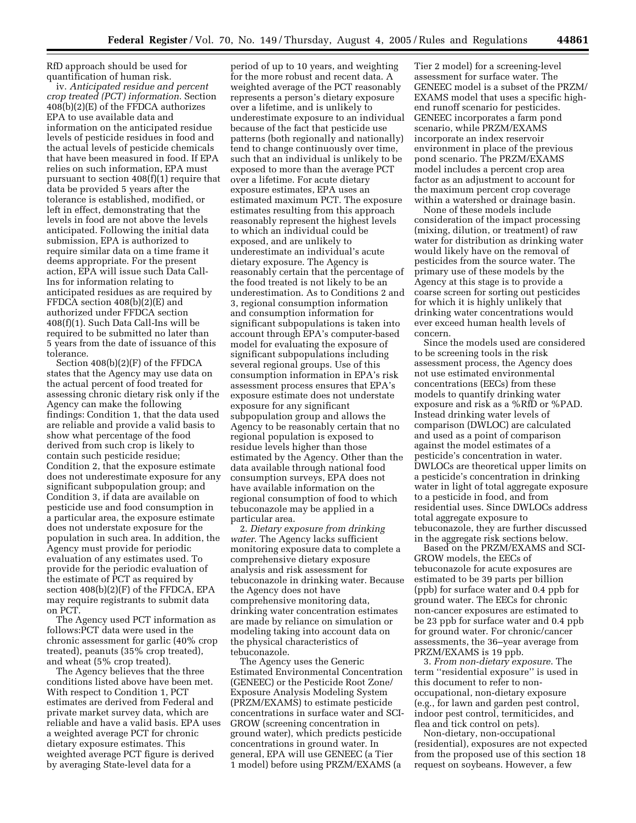RfD approach should be used for quantification of human risk.

iv. *Anticipated residue and percent crop treated (PCT) information*. Section 408(b)(2)(E) of the FFDCA authorizes EPA to use available data and information on the anticipated residue levels of pesticide residues in food and the actual levels of pesticide chemicals that have been measured in food. If EPA relies on such information, EPA must pursuant to section 408(f)(1) require that data be provided 5 years after the tolerance is established, modified, or left in effect, demonstrating that the levels in food are not above the levels anticipated. Following the initial data submission, EPA is authorized to require similar data on a time frame it deems appropriate. For the present action, EPA will issue such Data Call-Ins for information relating to anticipated residues as are required by FFDCA section 408(b)(2)(E) and authorized under FFDCA section 408(f)(1). Such Data Call-Ins will be required to be submitted no later than 5 years from the date of issuance of this tolerance.

Section 408(b)(2)(F) of the FFDCA states that the Agency may use data on the actual percent of food treated for assessing chronic dietary risk only if the Agency can make the following findings: Condition 1, that the data used are reliable and provide a valid basis to show what percentage of the food derived from such crop is likely to contain such pesticide residue; Condition 2, that the exposure estimate does not underestimate exposure for any significant subpopulation group; and Condition 3, if data are available on pesticide use and food consumption in a particular area, the exposure estimate does not understate exposure for the population in such area. In addition, the Agency must provide for periodic evaluation of any estimates used. To provide for the periodic evaluation of the estimate of PCT as required by section 408(b)(2)(F) of the FFDCA, EPA may require registrants to submit data on PCT.

The Agency used PCT information as follows:PCT data were used in the chronic assessment for garlic (40% crop treated), peanuts (35% crop treated), and wheat (5% crop treated).

The Agency believes that the three conditions listed above have been met. With respect to Condition 1, PCT estimates are derived from Federal and private market survey data, which are reliable and have a valid basis. EPA uses a weighted average PCT for chronic dietary exposure estimates. This weighted average PCT figure is derived by averaging State-level data for a

period of up to 10 years, and weighting for the more robust and recent data. A weighted average of the PCT reasonably represents a person's dietary exposure over a lifetime, and is unlikely to underestimate exposure to an individual because of the fact that pesticide use patterns (both regionally and nationally) tend to change continuously over time, such that an individual is unlikely to be exposed to more than the average PCT over a lifetime. For acute dietary exposure estimates, EPA uses an estimated maximum PCT. The exposure estimates resulting from this approach reasonably represent the highest levels to which an individual could be exposed, and are unlikely to underestimate an individual's acute dietary exposure. The Agency is reasonably certain that the percentage of the food treated is not likely to be an underestimation. As to Conditions 2 and 3, regional consumption information and consumption information for significant subpopulations is taken into account through EPA's computer-based model for evaluating the exposure of significant subpopulations including several regional groups. Use of this consumption information in EPA's risk assessment process ensures that EPA's exposure estimate does not understate exposure for any significant subpopulation group and allows the Agency to be reasonably certain that no regional population is exposed to residue levels higher than those estimated by the Agency. Other than the data available through national food consumption surveys, EPA does not have available information on the regional consumption of food to which tebuconazole may be applied in a particular area.

2. *Dietary exposure from drinking water*. The Agency lacks sufficient monitoring exposure data to complete a comprehensive dietary exposure analysis and risk assessment for tebuconazole in drinking water. Because the Agency does not have comprehensive monitoring data, drinking water concentration estimates are made by reliance on simulation or modeling taking into account data on the physical characteristics of tebuconazole.

The Agency uses the Generic Estimated Environmental Concentration (GENEEC) or the Pesticide Root Zone/ Exposure Analysis Modeling System (PRZM/EXAMS) to estimate pesticide concentrations in surface water and SCI-GROW (screening concentration in ground water), which predicts pesticide concentrations in ground water. In general, EPA will use GENEEC (a Tier 1 model) before using PRZM/EXAMS (a

Tier 2 model) for a screening-level assessment for surface water. The GENEEC model is a subset of the PRZM/ EXAMS model that uses a specific highend runoff scenario for pesticides. GENEEC incorporates a farm pond scenario, while PRZM/EXAMS incorporate an index reservoir environment in place of the previous pond scenario. The PRZM/EXAMS model includes a percent crop area factor as an adjustment to account for the maximum percent crop coverage within a watershed or drainage basin.

None of these models include consideration of the impact processing (mixing, dilution, or treatment) of raw water for distribution as drinking water would likely have on the removal of pesticides from the source water. The primary use of these models by the Agency at this stage is to provide a coarse screen for sorting out pesticides for which it is highly unlikely that drinking water concentrations would ever exceed human health levels of concern.

Since the models used are considered to be screening tools in the risk assessment process, the Agency does not use estimated environmental concentrations (EECs) from these models to quantify drinking water exposure and risk as a %RfD or %PAD. Instead drinking water levels of comparison (DWLOC) are calculated and used as a point of comparison against the model estimates of a pesticide's concentration in water. DWLOCs are theoretical upper limits on a pesticide's concentration in drinking water in light of total aggregate exposure to a pesticide in food, and from residential uses. Since DWLOCs address total aggregate exposure to tebuconazole, they are further discussed in the aggregate risk sections below.

Based on the PRZM/EXAMS and SCI-GROW models, the EECs of tebuconazole for acute exposures are estimated to be 39 parts per billion (ppb) for surface water and 0.4 ppb for ground water. The EECs for chronic non-cancer exposures are estimated to be 23 ppb for surface water and 0.4 ppb for ground water. For chronic/cancer assessments, the 36–year average from PRZM/EXAMS is 19 ppb.

3. *From non-dietary exposure*. The term ''residential exposure'' is used in this document to refer to nonoccupational, non-dietary exposure (e.g., for lawn and garden pest control, indoor pest control, termiticides, and flea and tick control on pets).

Non-dietary, non-occupational (residential), exposures are not expected from the proposed use of this section 18 request on soybeans. However, a few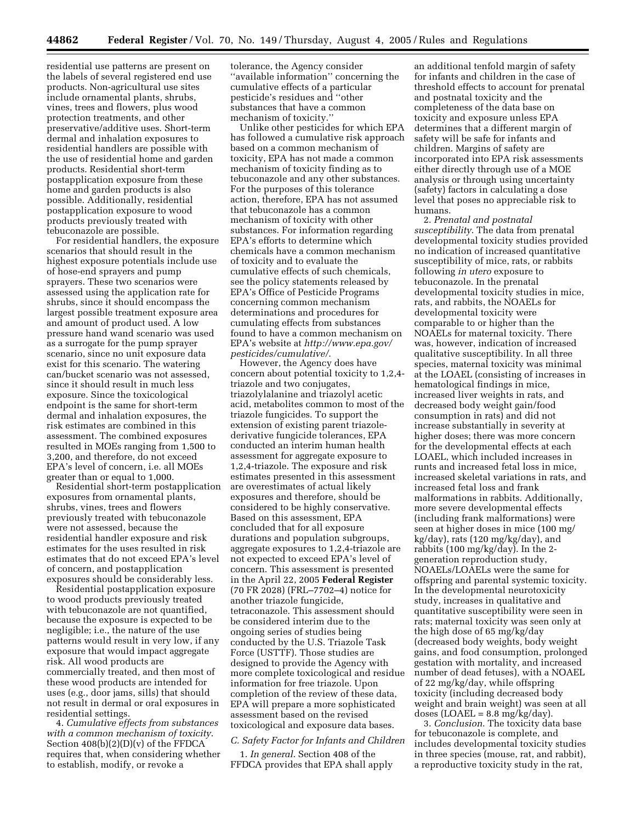residential use patterns are present on the labels of several registered end use products. Non-agricultural use sites include ornamental plants, shrubs, vines, trees and flowers, plus wood protection treatments, and other preservative/additive uses. Short-term dermal and inhalation exposures to residential handlers are possible with the use of residential home and garden products. Residential short-term postapplication exposure from these home and garden products is also possible. Additionally, residential postapplication exposure to wood products previously treated with tebuconazole are possible.

For residential handlers, the exposure scenarios that should result in the highest exposure potentials include use of hose-end sprayers and pump sprayers. These two scenarios were assessed using the application rate for shrubs, since it should encompass the largest possible treatment exposure area and amount of product used. A low pressure hand wand scenario was used as a surrogate for the pump sprayer scenario, since no unit exposure data exist for this scenario. The watering can/bucket scenario was not assessed, since it should result in much less exposure. Since the toxicological endpoint is the same for short-term dermal and inhalation exposures, the risk estimates are combined in this assessment. The combined exposures resulted in MOEs ranging from 1,500 to 3,200, and therefore, do not exceed EPA's level of concern, i.e. all MOEs greater than or equal to 1,000.

Residential short-term postapplication exposures from ornamental plants, shrubs, vines, trees and flowers previously treated with tebuconazole were not assessed, because the residential handler exposure and risk estimates for the uses resulted in risk estimates that do not exceed EPA's level of concern, and postapplication exposures should be considerably less.

Residential postapplication exposure to wood products previously treated with tebuconazole are not quantified, because the exposure is expected to be negligible; i.e., the nature of the use patterns would result in very low, if any exposure that would impact aggregate risk. All wood products are commercially treated, and then most of these wood products are intended for uses (e.g., door jams, sills) that should not result in dermal or oral exposures in residential settings.

4. *Cumulative effects from substances with a common mechanism of toxicity*. Section 408(b)(2)(D)(v) of the FFDCA requires that, when considering whether to establish, modify, or revoke a

tolerance, the Agency consider ''available information'' concerning the cumulative effects of a particular pesticide's residues and ''other substances that have a common mechanism of toxicity.''

Unlike other pesticides for which EPA has followed a cumulative risk approach based on a common mechanism of toxicity, EPA has not made a common mechanism of toxicity finding as to tebuconazole and any other substances. For the purposes of this tolerance action, therefore, EPA has not assumed that tebuconazole has a common mechanism of toxicity with other substances. For information regarding EPA's efforts to determine which chemicals have a common mechanism of toxicity and to evaluate the cumulative effects of such chemicals, see the policy statements released by EPA's Office of Pesticide Programs concerning common mechanism determinations and procedures for cumulating effects from substances found to have a common mechanism on EPA's website at *http://www.epa.gov/ pesticides/cumulative/*.

However, the Agency does have concern about potential toxicity to 1,2,4 triazole and two conjugates, triazolylalanine and triazolyl acetic acid, metabolites common to most of the triazole fungicides. To support the extension of existing parent triazolederivative fungicide tolerances, EPA conducted an interim human health assessment for aggregate exposure to 1,2,4-triazole. The exposure and risk estimates presented in this assessment are overestimates of actual likely exposures and therefore, should be considered to be highly conservative. Based on this assessment, EPA concluded that for all exposure durations and population subgroups, aggregate exposures to 1,2,4-triazole are not expected to exceed EPA's level of concern. This assessment is presented in the April 22, 2005 **Federal Register** (70 FR 2028) (FRL–7702–4) notice for another triazole fungicide, tetraconazole. This assessment should be considered interim due to the ongoing series of studies being conducted by the U.S. Triazole Task Force (USTTF). Those studies are designed to provide the Agency with more complete toxicological and residue information for free triazole. Upon completion of the review of these data, EPA will prepare a more sophisticated assessment based on the revised toxicological and exposure data bases.

### *C. Safety Factor for Infants and Children*

1. *In general*. Section 408 of the FFDCA provides that EPA shall apply

an additional tenfold margin of safety for infants and children in the case of threshold effects to account for prenatal and postnatal toxicity and the completeness of the data base on toxicity and exposure unless EPA determines that a different margin of safety will be safe for infants and children. Margins of safety are incorporated into EPA risk assessments either directly through use of a MOE analysis or through using uncertainty (safety) factors in calculating a dose level that poses no appreciable risk to humans.

2. *Prenatal and postnatal susceptibility*. The data from prenatal developmental toxicity studies provided no indication of increased quantitative susceptibility of mice, rats, or rabbits following *in utero* exposure to tebuconazole. In the prenatal developmental toxicity studies in mice, rats, and rabbits, the NOAELs for developmental toxicity were comparable to or higher than the NOAELs for maternal toxicity. There was, however, indication of increased qualitative susceptibility. In all three species, maternal toxicity was minimal at the LOAEL (consisting of increases in hematological findings in mice, increased liver weights in rats, and decreased body weight gain/food consumption in rats) and did not increase substantially in severity at higher doses; there was more concern for the developmental effects at each LOAEL, which included increases in runts and increased fetal loss in mice, increased skeletal variations in rats, and increased fetal loss and frank malformations in rabbits. Additionally, more severe developmental effects (including frank malformations) were seen at higher doses in mice (100 mg/ kg/day), rats (120 mg/kg/day), and rabbits (100 mg/kg/day). In the 2 generation reproduction study, NOAELs/LOAELs were the same for offspring and parental systemic toxicity. In the developmental neurotoxicity study, increases in qualitative and quantitative susceptibility were seen in rats; maternal toxicity was seen only at the high dose of 65 mg/kg/day (decreased body weights, body weight gains, and food consumption, prolonged gestation with mortality, and increased number of dead fetuses), with a NOAEL of 22 mg/kg/day, while offspring toxicity (including decreased body weight and brain weight) was seen at all doses (LOAEL =  $8.8 \text{ mg/kg/day}$ ).

3. *Conclusion*. The toxicity data base for tebuconazole is complete, and includes developmental toxicity studies in three species (mouse, rat, and rabbit), a reproductive toxicity study in the rat,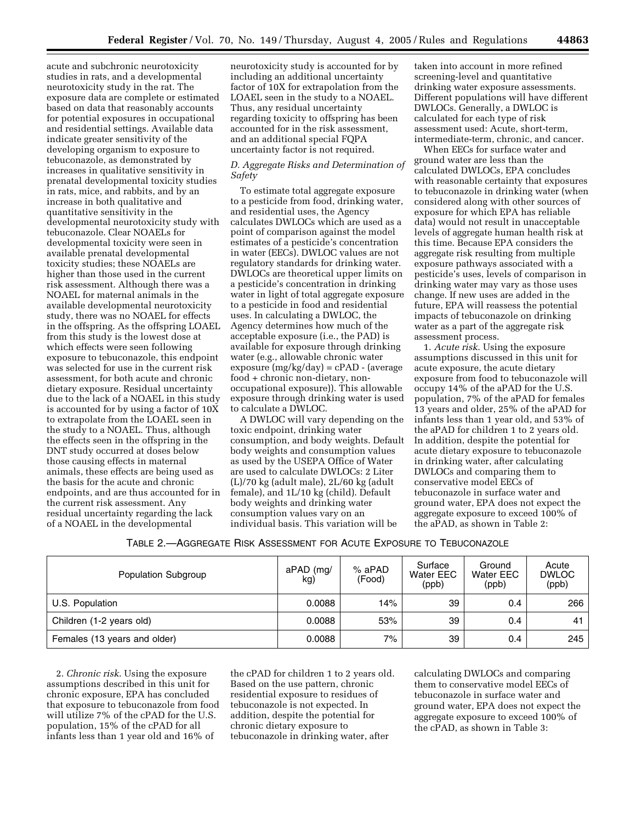acute and subchronic neurotoxicity studies in rats, and a developmental neurotoxicity study in the rat. The exposure data are complete or estimated based on data that reasonably accounts for potential exposures in occupational and residential settings. Available data indicate greater sensitivity of the developing organism to exposure to tebuconazole, as demonstrated by increases in qualitative sensitivity in prenatal developmental toxicity studies in rats, mice, and rabbits, and by an increase in both qualitative and quantitative sensitivity in the developmental neurotoxicity study with tebuconazole. Clear NOAELs for developmental toxicity were seen in available prenatal developmental toxicity studies; these NOAELs are higher than those used in the current risk assessment. Although there was a NOAEL for maternal animals in the available developmental neurotoxicity study, there was no NOAEL for effects in the offspring. As the offspring LOAEL from this study is the lowest dose at which effects were seen following exposure to tebuconazole, this endpoint was selected for use in the current risk assessment, for both acute and chronic dietary exposure. Residual uncertainty due to the lack of a NOAEL in this study is accounted for by using a factor of 10X to extrapolate from the LOAEL seen in the study to a NOAEL. Thus, although the effects seen in the offspring in the DNT study occurred at doses below those causing effects in maternal animals, these effects are being used as the basis for the acute and chronic endpoints, and are thus accounted for in the current risk assessment. Any residual uncertainty regarding the lack of a NOAEL in the developmental

neurotoxicity study is accounted for by including an additional uncertainty factor of 10X for extrapolation from the LOAEL seen in the study to a NOAEL. Thus, any residual uncertainty regarding toxicity to offspring has been accounted for in the risk assessment, and an additional special FQPA uncertainty factor is not required.

## *D. Aggregate Risks and Determination of Safety*

To estimate total aggregate exposure to a pesticide from food, drinking water, and residential uses, the Agency calculates DWLOCs which are used as a point of comparison against the model estimates of a pesticide's concentration in water (EECs). DWLOC values are not regulatory standards for drinking water. DWLOCs are theoretical upper limits on a pesticide's concentration in drinking water in light of total aggregate exposure to a pesticide in food and residential uses. In calculating a DWLOC, the Agency determines how much of the acceptable exposure (i.e., the PAD) is available for exposure through drinking water (e.g., allowable chronic water exposure  $(mg/kg/day) = cPAD - (average$ food + chronic non-dietary, nonoccupational exposure)). This allowable exposure through drinking water is used to calculate a DWLOC.

A DWLOC will vary depending on the toxic endpoint, drinking water consumption, and body weights. Default body weights and consumption values as used by the USEPA Office of Water are used to calculate DWLOCs: 2 Liter (L)/70 kg (adult male), 2L/60 kg (adult female), and 1L/10 kg (child). Default body weights and drinking water consumption values vary on an individual basis. This variation will be

taken into account in more refined screening-level and quantitative drinking water exposure assessments. Different populations will have different DWLOCs. Generally, a DWLOC is calculated for each type of risk assessment used: Acute, short-term, intermediate-term, chronic, and cancer.

When EECs for surface water and ground water are less than the calculated DWLOCs, EPA concludes with reasonable certainty that exposures to tebuconazole in drinking water (when considered along with other sources of exposure for which EPA has reliable data) would not result in unacceptable levels of aggregate human health risk at this time. Because EPA considers the aggregate risk resulting from multiple exposure pathways associated with a pesticide's uses, levels of comparison in drinking water may vary as those uses change. If new uses are added in the future, EPA will reassess the potential impacts of tebuconazole on drinking water as a part of the aggregate risk assessment process.

1. *Acute risk*. Using the exposure assumptions discussed in this unit for acute exposure, the acute dietary exposure from food to tebuconazole will occupy 14% of the aPAD for the U.S. population, 7% of the aPAD for females 13 years and older, 25% of the aPAD for infants less than 1 year old, and 53% of the aPAD for children 1 to 2 years old. In addition, despite the potential for acute dietary exposure to tebuconazole in drinking water, after calculating DWLOCs and comparing them to conservative model EECs of tebuconazole in surface water and ground water, EPA does not expect the aggregate exposure to exceed 100% of the aPAD, as shown in Table 2:

| TABLE 2.—AGGREGATE RISK ASSESSMENT FOR ACUTE EXPOSURE TO TEBUCONAZOLE |
|-----------------------------------------------------------------------|
|-----------------------------------------------------------------------|

| Population Subgroup          | aPAD (mg/<br>kg) | $%$ aPAD<br>(Food) | Surface<br>Water EEC<br>(ppb) | Ground<br>Water EEC<br>(ppb) | Acute<br><b>DWLOC</b><br>(ppb) |
|------------------------------|------------------|--------------------|-------------------------------|------------------------------|--------------------------------|
| U.S. Population              | 0.0088           | 14%                | 39                            | 0.4                          | 266                            |
| Children (1-2 years old)     | 0.0088           | 53%                | 39                            | 0.4                          | 41                             |
| Females (13 years and older) | 0.0088           | 7%                 | 39                            | 0.4                          | 245                            |

2. *Chronic risk*. Using the exposure assumptions described in this unit for chronic exposure, EPA has concluded that exposure to tebuconazole from food will utilize 7% of the cPAD for the U.S. population, 15% of the cPAD for all infants less than 1 year old and 16% of

the cPAD for children 1 to 2 years old. Based on the use pattern, chronic residential exposure to residues of tebuconazole is not expected. In addition, despite the potential for chronic dietary exposure to tebuconazole in drinking water, after

calculating DWLOCs and comparing them to conservative model EECs of tebuconazole in surface water and ground water, EPA does not expect the aggregate exposure to exceed 100% of the cPAD, as shown in Table 3: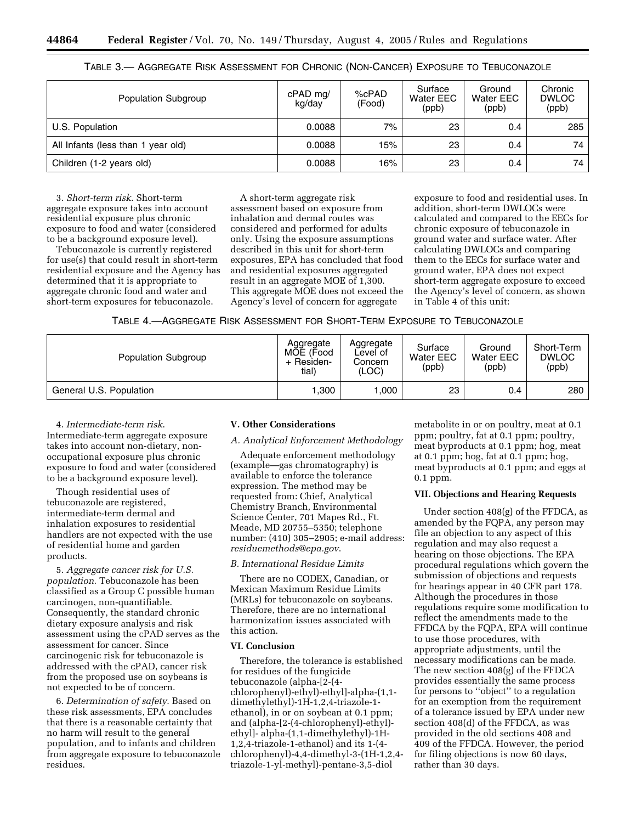| Population Subgroup                | cPAD mg/<br>kg/day | %cPAD<br>(Food) | Surface<br>Water EEC<br>(ppb) | Ground<br>Water EEC<br>(ppb) | Chronic<br><b>DWLOC</b><br>(ppb) |
|------------------------------------|--------------------|-----------------|-------------------------------|------------------------------|----------------------------------|
| U.S. Population                    | 0.0088             | $7\%$           | 23                            | 0.4                          | 285                              |
| All Infants (less than 1 year old) | 0.0088             | 15%             | 23                            | 0.4                          | 74                               |
| Children (1-2 years old)           | 0.0088             | 16%             | 23                            | 0.4                          | 74                               |

TABLE 3.— AGGREGATE RISK ASSESSMENT FOR CHRONIC (NON-CANCER) EXPOSURE TO TEBUCONAZOLE

3. *Short-term risk*. Short-term aggregate exposure takes into account residential exposure plus chronic exposure to food and water (considered to be a background exposure level).

Tebuconazole is currently registered for use(s) that could result in short-term residential exposure and the Agency has determined that it is appropriate to aggregate chronic food and water and short-term exposures for tebuconazole.

A short-term aggregate risk assessment based on exposure from inhalation and dermal routes was considered and performed for adults only. Using the exposure assumptions described in this unit for short-term exposures, EPA has concluded that food and residential exposures aggregated result in an aggregate MOE of 1,300. This aggregate MOE does not exceed the Agency's level of concern for aggregate

exposure to food and residential uses. In addition, short-term DWLOCs were calculated and compared to the EECs for chronic exposure of tebuconazole in ground water and surface water. After calculating DWLOCs and comparing them to the EECs for surface water and ground water, EPA does not expect short-term aggregate exposure to exceed the Agency's level of concern, as shown in Table 4 of this unit:

| TABLE 4.- AGGREGATE RISK ASSESSMENT FOR SHORT-TERM EXPOSURE TO TEBUCONAZOLE |  |  |
|-----------------------------------------------------------------------------|--|--|
|-----------------------------------------------------------------------------|--|--|

| <b>Population Subgroup</b> | Aggregate<br>MOE (Food<br>+ Residen-<br>tial) | Aggregate<br>Level of<br>Concern<br>(LOC) | Surface<br>Water EEC<br>(ppb) | Ground<br>Water EEC<br>(ppb) | Short-Term<br><b>DWLOC</b><br>(ppb) |
|----------------------------|-----------------------------------------------|-------------------------------------------|-------------------------------|------------------------------|-------------------------------------|
| General U.S. Population    | .300                                          | .000                                      | 23                            | 0.4                          | 280                                 |

4. *Intermediate-term risk*. Intermediate-term aggregate exposure takes into account non-dietary, nonoccupational exposure plus chronic exposure to food and water (considered to be a background exposure level).

Though residential uses of tebuconazole are registered, intermediate-term dermal and inhalation exposures to residential handlers are not expected with the use of residential home and garden products.

5. *Aggregate cancer risk for U.S. population*. Tebuconazole has been classified as a Group C possible human carcinogen, non-quantifiable. Consequently, the standard chronic dietary exposure analysis and risk assessment using the cPAD serves as the assessment for cancer. Since carcinogenic risk for tebuconazole is addressed with the cPAD, cancer risk from the proposed use on soybeans is not expected to be of concern.

6. *Determination of safety*. Based on these risk assessments, EPA concludes that there is a reasonable certainty that no harm will result to the general population, and to infants and children from aggregate exposure to tebuconazole residues.

### **V. Other Considerations**

*A. Analytical Enforcement Methodology* 

Adequate enforcement methodology (example—gas chromatography) is available to enforce the tolerance expression. The method may be requested from: Chief, Analytical Chemistry Branch, Environmental Science Center, 701 Mapes Rd., Ft. Meade, MD 20755–5350; telephone number: (410) 305–2905; e-mail address: *residuemethods@epa.gov*.

## *B. International Residue Limits*

There are no CODEX, Canadian, or Mexican Maximum Residue Limits (MRLs) for tebuconazole on soybeans. Therefore, there are no international harmonization issues associated with this action.

## **VI. Conclusion**

Therefore, the tolerance is established for residues of the fungicide tebuconazole (alpha-[2-(4 chlorophenyl)-ethyl)-ethyl]-alpha-(1,1 dimethylethyl)-1H-1,2,4-triazole-1 ethanol), in or on soybean at 0.1 ppm; and (alpha-[2-(4-chlorophenyl)-ethyl) ethyl]- alpha-(1,1-dimethylethyl)-1H-1,2,4-triazole-1-ethanol) and its 1-(4 chlorophenyl)-4,4-dimethyl-3-(1H-1,2,4 triazole-1-yl-methyl)-pentane-3,5-diol

metabolite in or on poultry, meat at 0.1 ppm; poultry, fat at 0.1 ppm; poultry, meat byproducts at 0.1 ppm; hog, meat at 0.1 ppm; hog, fat at 0.1 ppm; hog, meat byproducts at 0.1 ppm; and eggs at 0.1 ppm.

#### **VII. Objections and Hearing Requests**

Under section 408(g) of the FFDCA, as amended by the FQPA, any person may file an objection to any aspect of this regulation and may also request a hearing on those objections. The EPA procedural regulations which govern the submission of objections and requests for hearings appear in 40 CFR part 178. Although the procedures in those regulations require some modification to reflect the amendments made to the FFDCA by the FQPA, EPA will continue to use those procedures, with appropriate adjustments, until the necessary modifications can be made. The new section 408(g) of the FFDCA provides essentially the same process for persons to ''object'' to a regulation for an exemption from the requirement of a tolerance issued by EPA under new section 408(d) of the FFDCA, as was provided in the old sections 408 and 409 of the FFDCA. However, the period for filing objections is now 60 days, rather than 30 days.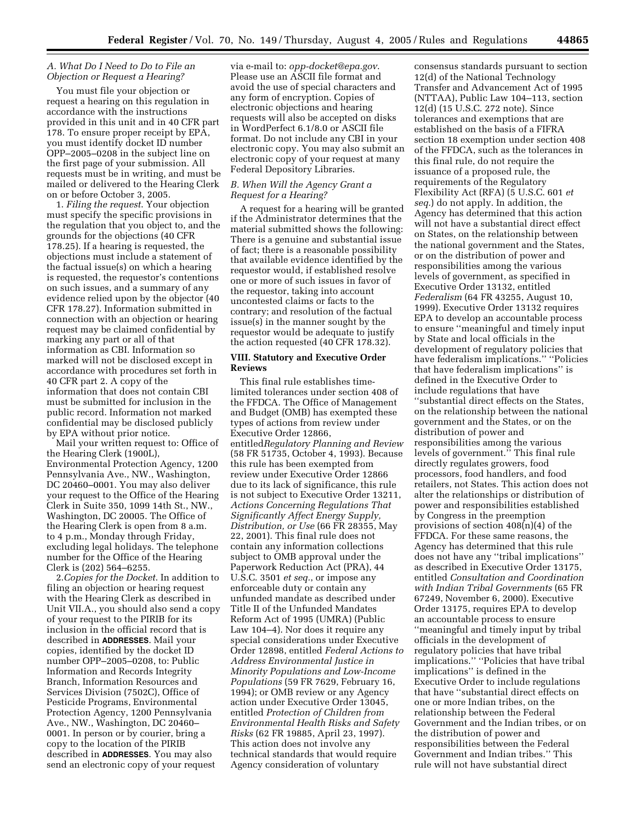## *A. What Do I Need to Do to File an Objection or Request a Hearing?*

You must file your objection or request a hearing on this regulation in accordance with the instructions provided in this unit and in 40 CFR part 178. To ensure proper receipt by EPA, you must identify docket ID number OPP–2005–0208 in the subject line on the first page of your submission. All requests must be in writing, and must be mailed or delivered to the Hearing Clerk on or before October 3, 2005.

1. *Filing the request*. Your objection must specify the specific provisions in the regulation that you object to, and the grounds for the objections (40 CFR 178.25). If a hearing is requested, the objections must include a statement of the factual issue(s) on which a hearing is requested, the requestor's contentions on such issues, and a summary of any evidence relied upon by the objector (40 CFR 178.27). Information submitted in connection with an objection or hearing request may be claimed confidential by marking any part or all of that information as CBI. Information so marked will not be disclosed except in accordance with procedures set forth in 40 CFR part 2. A copy of the information that does not contain CBI must be submitted for inclusion in the public record. Information not marked confidential may be disclosed publicly by EPA without prior notice.

Mail your written request to: Office of the Hearing Clerk (1900L), Environmental Protection Agency, 1200 Pennsylvania Ave., NW., Washington, DC 20460–0001. You may also deliver your request to the Office of the Hearing Clerk in Suite 350, 1099 14th St., NW., Washington, DC 20005. The Office of the Hearing Clerk is open from 8 a.m. to 4 p.m., Monday through Friday, excluding legal holidays. The telephone number for the Office of the Hearing Clerk is (202) 564–6255.

2.*Copies for the Docket*. In addition to filing an objection or hearing request with the Hearing Clerk as described in Unit VII.A., you should also send a copy of your request to the PIRIB for its inclusion in the official record that is described in **ADDRESSES**. Mail your copies, identified by the docket ID number OPP–2005–0208, to: Public Information and Records Integrity Branch, Information Resources and Services Division (7502C), Office of Pesticide Programs, Environmental Protection Agency, 1200 Pennsylvania Ave., NW., Washington, DC 20460– 0001. In person or by courier, bring a copy to the location of the PIRIB described in **ADDRESSES**. You may also send an electronic copy of your request

via e-mail to: *opp-docket@epa.gov*. Please use an ASCII file format and avoid the use of special characters and any form of encryption. Copies of electronic objections and hearing requests will also be accepted on disks in WordPerfect 6.1/8.0 or ASCII file format. Do not include any CBI in your electronic copy. You may also submit an electronic copy of your request at many Federal Depository Libraries.

### *B. When Will the Agency Grant a Request for a Hearing?*

A request for a hearing will be granted if the Administrator determines that the material submitted shows the following: There is a genuine and substantial issue of fact; there is a reasonable possibility that available evidence identified by the requestor would, if established resolve one or more of such issues in favor of the requestor, taking into account uncontested claims or facts to the contrary; and resolution of the factual issue(s) in the manner sought by the requestor would be adequate to justify the action requested (40 CFR 178.32).

## **VIII. Statutory and Executive Order Reviews**

This final rule establishes timelimited tolerances under section 408 of the FFDCA. The Office of Management and Budget (OMB) has exempted these types of actions from review under Executive Order 12866, entitled*Regulatory Planning and Review* (58 FR 51735, October 4, 1993). Because this rule has been exempted from review under Executive Order 12866 due to its lack of significance, this rule is not subject to Executive Order 13211, *Actions Concerning Regulations That Significantly Affect Energy Supply, Distribution, or Use* (66 FR 28355, May 22, 2001). This final rule does not contain any information collections subject to OMB approval under the Paperwork Reduction Act (PRA), 44 U.S.C. 3501 *et seq.*, or impose any enforceable duty or contain any unfunded mandate as described under Title II of the Unfunded Mandates Reform Act of 1995 (UMRA) (Public Law 104–4). Nor does it require any special considerations under Executive Order 12898, entitled *Federal Actions to Address Environmental Justice in Minority Populations and Low-Income Populations* (59 FR 7629, February 16, 1994); or OMB review or any Agency action under Executive Order 13045, entitled *Protection of Children from Environmental Health Risks and Safety Risks* (62 FR 19885, April 23, 1997). This action does not involve any technical standards that would require Agency consideration of voluntary

consensus standards pursuant to section 12(d) of the National Technology Transfer and Advancement Act of 1995 (NTTAA), Public Law 104–113, section 12(d) (15 U.S.C. 272 note). Since tolerances and exemptions that are established on the basis of a FIFRA section 18 exemption under section 408 of the FFDCA, such as the tolerances in this final rule, do not require the issuance of a proposed rule, the requirements of the Regulatory Flexibility Act (RFA) (5 U.S.C. 601 *et seq.*) do not apply. In addition, the Agency has determined that this action will not have a substantial direct effect on States, on the relationship between the national government and the States, or on the distribution of power and responsibilities among the various levels of government, as specified in Executive Order 13132, entitled *Federalism* (64 FR 43255, August 10, 1999). Executive Order 13132 requires EPA to develop an accountable process to ensure ''meaningful and timely input by State and local officials in the development of regulatory policies that have federalism implications.'' ''Policies that have federalism implications'' is defined in the Executive Order to include regulations that have ''substantial direct effects on the States, on the relationship between the national government and the States, or on the distribution of power and responsibilities among the various levels of government.'' This final rule directly regulates growers, food processors, food handlers, and food retailers, not States. This action does not alter the relationships or distribution of power and responsibilities established by Congress in the preemption provisions of section 408(n)(4) of the FFDCA. For these same reasons, the Agency has determined that this rule does not have any ''tribal implications'' as described in Executive Order 13175, entitled *Consultation and Coordination with Indian Tribal Governments* (65 FR 67249, November 6, 2000). Executive Order 13175, requires EPA to develop an accountable process to ensure ''meaningful and timely input by tribal officials in the development of regulatory policies that have tribal implications.'' ''Policies that have tribal implications'' is defined in the Executive Order to include regulations that have ''substantial direct effects on one or more Indian tribes, on the relationship between the Federal Government and the Indian tribes, or on the distribution of power and responsibilities between the Federal Government and Indian tribes.'' This rule will not have substantial direct